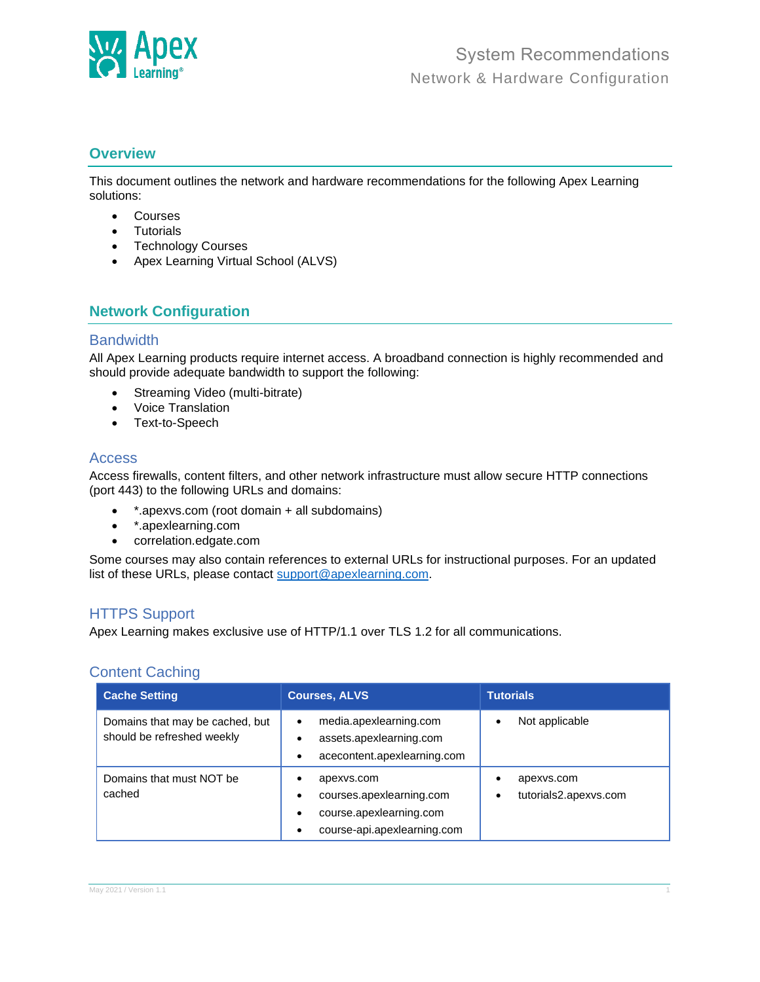

### **Overview**

This document outlines the network and hardware recommendations for the following Apex Learning solutions:

- Courses
- Tutorials
- Technology Courses
- Apex Learning Virtual School (ALVS)

# **Network Configuration**

#### **Bandwidth**

All Apex Learning products require internet access. A broadband connection is highly recommended and should provide adequate bandwidth to support the following:

- Streaming Video (multi-bitrate)
- Voice Translation
- Text-to-Speech

### Access

Access firewalls, content filters, and other network infrastructure must allow secure HTTP connections (port 443) to the following URLs and domains:

- \*.apexvs.com (root domain + all subdomains)
- \*.apexlearning.com
- correlation.edgate.com

Some courses may also contain references to external URLs for instructional purposes. For an updated list of these URLs, please contact [support@apexlearning.com.](file:///C:/Users/michael.skiles/Downloads/support@apexlearning.com)

## HTTPS Support

Apex Learning makes exclusive use of HTTP/1.1 over TLS 1.2 for all communications.

#### Content Caching

| <b>Cache Setting</b>                                          | <b>Courses, ALVS</b>                                                                                                 | <b>Tutorials</b>                              |  |
|---------------------------------------------------------------|----------------------------------------------------------------------------------------------------------------------|-----------------------------------------------|--|
| Domains that may be cached, but<br>should be refreshed weekly | media.apexlearning.com<br>٠<br>assets.apexlearning.com<br>٠<br>acecontent.apexlearning.com<br>٠                      | Not applicable<br>$\bullet$                   |  |
| Domains that must NOT be<br>cached                            | apexys.com<br>٠<br>courses.apexlearning.com<br>٠<br>course.apexlearning.com<br>٠<br>course-api.apexlearning.com<br>٠ | apexys.com<br>٠<br>tutorials2.apexys.com<br>٠ |  |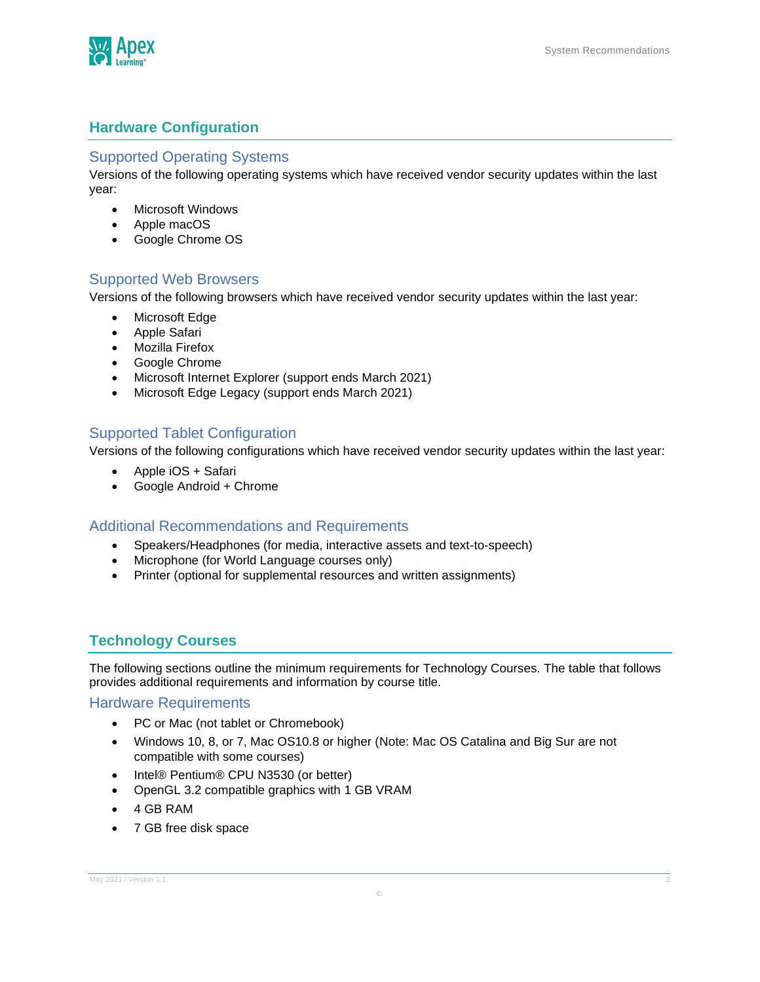

# **Hardware Configuration**

#### Supported Operating Systems

Versions of the following operating systems which have received vendor security updates within the last year:

- Microsoft Windows
- Apple macOS
- Google Chrome OS

### Supported Web Browsers

Versions of the following browsers which have received vendor security updates within the last year:

- Microsoft Edge
- Apple Safari
- Mozilla Firefox
- Google Chrome
- Microsoft Internet Explorer (support ends March 2021)
- Microsoft Edge Legacy (support ends March 2021)

### Supported Tablet Configuration

Versions of the following configurations which have received vendor security updates within the last year:

- Apple iOS + Safari
- Google Android + Chrome

#### Additional Recommendations and Requirements

- Speakers/Headphones (for media, interactive assets and text-to-speech)
- Microphone (for World Language courses only)
- Printer (optional for supplemental resources and written assignments)

## **Technology Courses**

The following sections outline the minimum requirements for Technology Courses. The table that follows provides additional requirements and information by course title.

#### Hardware Requirements

- PC or Mac (not tablet or Chromebook)
- Windows 10, 8, or 7, Mac OS10.8 or higher (Note: Mac OS Catalina and Big Sur are not compatible with some courses)
- Intel® Pentium® CPU N3530 (or better)
- OpenGL 3.2 compatible graphics with 1 GB VRAM
- 4 GB RAM
- 7 GB free disk space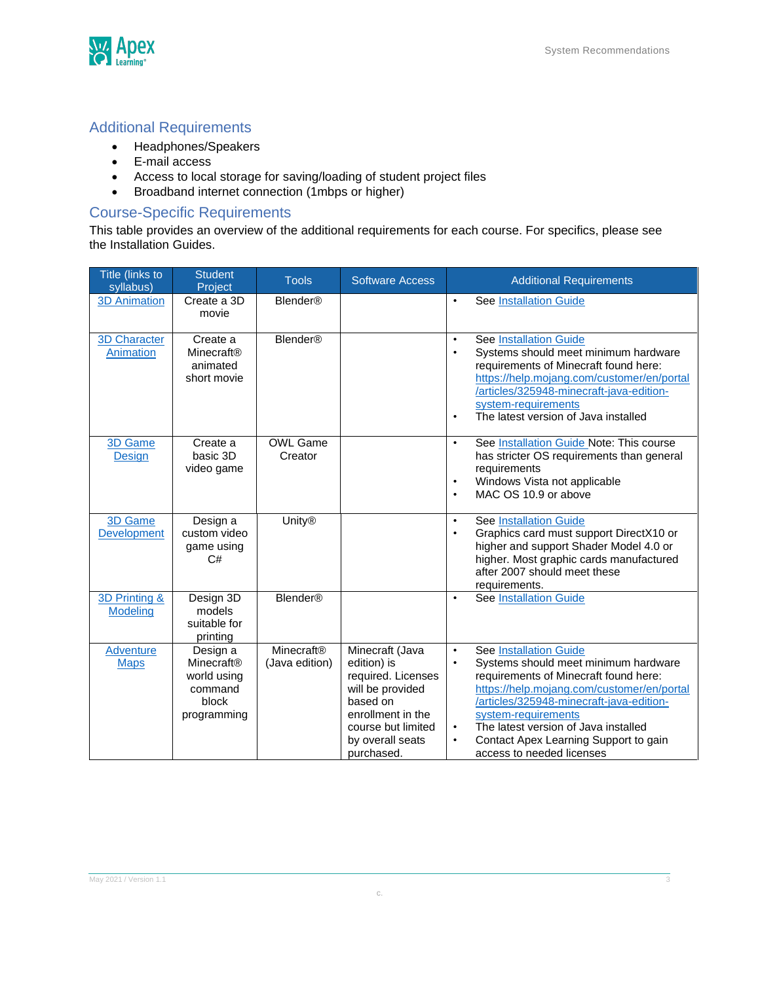

# Additional Requirements

- Headphones/Speakers
- E-mail access
- Access to local storage for saving/loading of student project files
- Broadband internet connection (1mbps or higher)

# Course-Specific Requirements

This table provides an overview of the additional requirements for each course. For specifics, please see the Installation Guides.

| Title (links to<br>syllabus)     | <b>Student</b><br>Project                                                | <b>Tools</b>                 | <b>Software Access</b>                                                                                                                                            | <b>Additional Requirements</b>                                                                                                                                                                                                                                                                                                                                                                    |
|----------------------------------|--------------------------------------------------------------------------|------------------------------|-------------------------------------------------------------------------------------------------------------------------------------------------------------------|---------------------------------------------------------------------------------------------------------------------------------------------------------------------------------------------------------------------------------------------------------------------------------------------------------------------------------------------------------------------------------------------------|
| <b>3D Animation</b>              | Create a 3D<br>movie                                                     | <b>Blender<sup>®</sup></b>   |                                                                                                                                                                   | See Installation Guide<br>$\bullet$                                                                                                                                                                                                                                                                                                                                                               |
| <b>3D Character</b><br>Animation | Create a<br>Minecraft®<br>animated<br>short movie                        | <b>Blender<sup>®</sup></b>   |                                                                                                                                                                   | <b>See Installation Guide</b><br>$\bullet$<br>Systems should meet minimum hardware<br>$\bullet$<br>requirements of Minecraft found here:<br>https://help.mojang.com/customer/en/portal<br>/articles/325948-minecraft-java-edition-<br>system-requirements<br>The latest version of Java installed<br>$\bullet$                                                                                    |
| 3D Game<br><b>Design</b>         | Create a<br>basic 3D<br>video game                                       | <b>OWL Game</b><br>Creator   |                                                                                                                                                                   | See Installation Guide Note: This course<br>$\bullet$<br>has stricter OS requirements than general<br>requirements<br>Windows Vista not applicable<br>$\bullet$<br>MAC OS 10.9 or above<br>$\bullet$                                                                                                                                                                                              |
| 3D Game<br><b>Development</b>    | Design a<br>custom video<br>game using<br>C#                             | <b>Unity®</b>                |                                                                                                                                                                   | <b>See Installation Guide</b><br>$\bullet$<br>Graphics card must support DirectX10 or<br>$\bullet$<br>higher and support Shader Model 4.0 or<br>higher. Most graphic cards manufactured<br>after 2007 should meet these<br>requirements.                                                                                                                                                          |
| 3D Printing &<br><b>Modeling</b> | Design 3D<br>models<br>suitable for<br>printing                          | <b>Blender<sup>®</sup></b>   |                                                                                                                                                                   | <b>See Installation Guide</b><br>$\bullet$                                                                                                                                                                                                                                                                                                                                                        |
| <b>Adventure</b><br><b>Maps</b>  | Design a<br>Minecraft®<br>world using<br>command<br>block<br>programming | Minecraft®<br>(Java edition) | Minecraft (Java<br>edition) is<br>required. Licenses<br>will be provided<br>based on<br>enrollment in the<br>course but limited<br>by overall seats<br>purchased. | <b>See Installation Guide</b><br>$\bullet$<br>Systems should meet minimum hardware<br>$\bullet$<br>requirements of Minecraft found here:<br>https://help.mojang.com/customer/en/portal<br>/articles/325948-minecraft-java-edition-<br>system-requirements<br>The latest version of Java installed<br>$\bullet$<br>Contact Apex Learning Support to gain<br>$\bullet$<br>access to needed licenses |